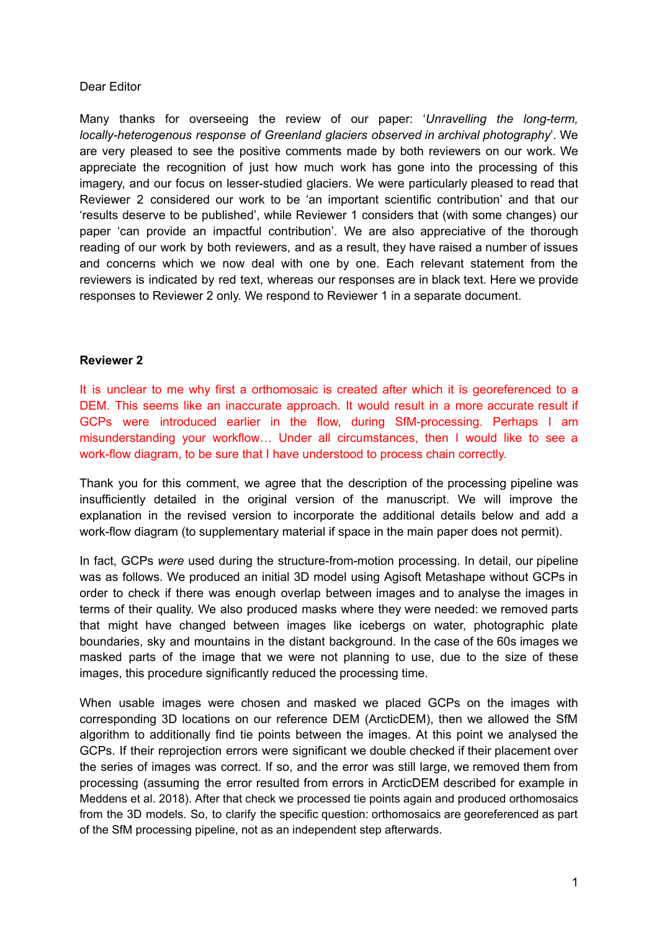#### Dear Editor

Many thanks for overseeing the review of our paper: '*Unravelling the long-term, locally-heterogenous response of Greenland glaciers observed in archival photography*'. We are very pleased to see the positive comments made by both reviewers on our work. We appreciate the recognition of just how much work has gone into the processing of this imagery, and our focus on lesser-studied glaciers. We were particularly pleased to read that Reviewer 2 considered our work to be 'an important scientific contribution' and that our 'results deserve to be published', while Reviewer 1 considers that (with some changes) our paper 'can provide an impactful contribution'. We are also appreciative of the thorough reading of our work by both reviewers, and as a result, they have raised a number of issues and concerns which we now deal with one by one. Each relevant statement from the reviewers is indicated by red text, whereas our responses are in black text. Here we provide responses to Reviewer 2 only. We respond to Reviewer 1 in a separate document.

#### **Reviewer 2**

It is unclear to me why first a orthomosaic is created after which it is georeferenced to a DEM. This seems like an inaccurate approach. It would result in a more accurate result if GCPs were introduced earlier in the flow, during SfM-processing. Perhaps I am misunderstanding your workflow… Under all circumstances, then I would like to see a work-flow diagram, to be sure that I have understood to process chain correctly.

Thank you for this comment, we agree that the description of the processing pipeline was insufficiently detailed in the original version of the manuscript. We will improve the explanation in the revised version to incorporate the additional details below and add a work-flow diagram (to supplementary material if space in the main paper does not permit).

In fact, GCPs *were* used during the structure-from-motion processing. In detail, our pipeline was as follows. We produced an initial 3D model using Agisoft Metashape without GCPs in order to check if there was enough overlap between images and to analyse the images in terms of their quality. We also produced masks where they were needed: we removed parts that might have changed between images like icebergs on water, photographic plate boundaries, sky and mountains in the distant background. In the case of the 60s images we masked parts of the image that we were not planning to use, due to the size of these images, this procedure significantly reduced the processing time.

When usable images were chosen and masked we placed GCPs on the images with corresponding 3D locations on our reference DEM (ArcticDEM), then we allowed the SfM algorithm to additionally find tie points between the images. At this point we analysed the GCPs. If their reprojection errors were significant we double checked if their placement over the series of images was correct. If so, and the error was still large, we removed them from processing (assuming the error resulted from errors in ArcticDEM described for example in Meddens et al. 2018). After that check we processed tie points again and produced orthomosaics from the 3D models. So, to clarify the specific question: orthomosaics are georeferenced as part of the SfM processing pipeline, not as an independent step afterwards.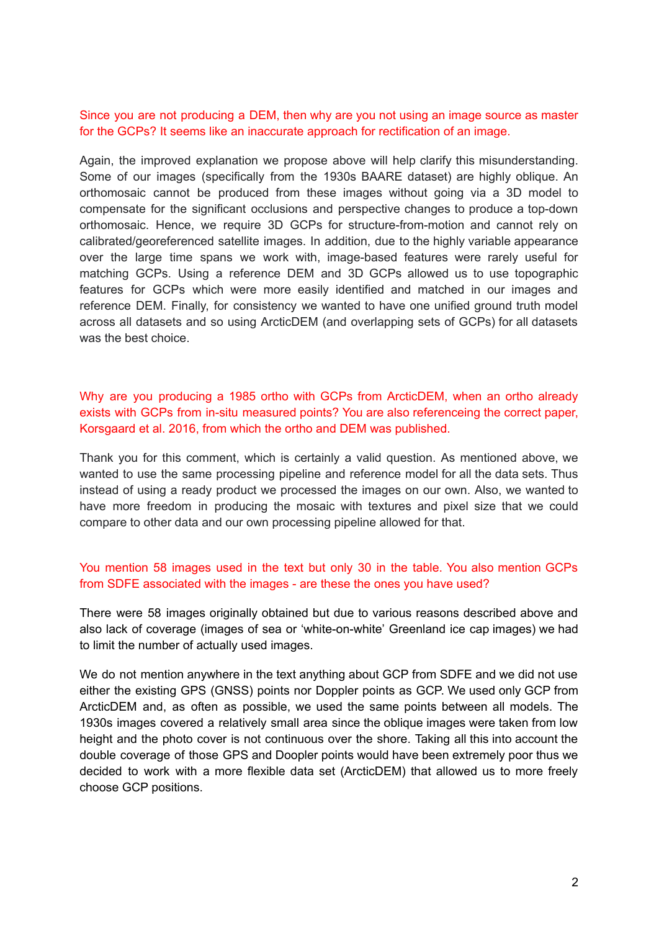## Since you are not producing a DEM, then why are you not using an image source as master for the GCPs? It seems like an inaccurate approach for rectification of an image.

Again, the improved explanation we propose above will help clarify this misunderstanding. Some of our images (specifically from the 1930s BAARE dataset) are highly oblique. An orthomosaic cannot be produced from these images without going via a 3D model to compensate for the significant occlusions and perspective changes to produce a top-down orthomosaic. Hence, we require 3D GCPs for structure-from-motion and cannot rely on calibrated/georeferenced satellite images. In addition, due to the highly variable appearance over the large time spans we work with, image-based features were rarely useful for matching GCPs. Using a reference DEM and 3D GCPs allowed us to use topographic features for GCPs which were more easily identified and matched in our images and reference DEM. Finally, for consistency we wanted to have one unified ground truth model across all datasets and so using ArcticDEM (and overlapping sets of GCPs) for all datasets was the best choice.

# Why are you producing a 1985 ortho with GCPs from ArcticDEM, when an ortho already exists with GCPs from in-situ measured points? You are also referenceing the correct paper, Korsgaard et al. 2016, from which the ortho and DEM was published.

Thank you for this comment, which is certainly a valid question. As mentioned above, we wanted to use the same processing pipeline and reference model for all the data sets. Thus instead of using a ready product we processed the images on our own. Also, we wanted to have more freedom in producing the mosaic with textures and pixel size that we could compare to other data and our own processing pipeline allowed for that.

## You mention 58 images used in the text but only 30 in the table. You also mention GCPs from SDFE associated with the images - are these the ones you have used?

There were 58 images originally obtained but due to various reasons described above and also lack of coverage (images of sea or 'white-on-white' Greenland ice cap images) we had to limit the number of actually used images.

We do not mention anywhere in the text anything about GCP from SDFE and we did not use either the existing GPS (GNSS) points nor Doppler points as GCP. We used only GCP from ArcticDEM and, as often as possible, we used the same points between all models. The 1930s images covered a relatively small area since the oblique images were taken from low height and the photo cover is not continuous over the shore. Taking all this into account the double coverage of those GPS and Doopler points would have been extremely poor thus we decided to work with a more flexible data set (ArcticDEM) that allowed us to more freely choose GCP positions.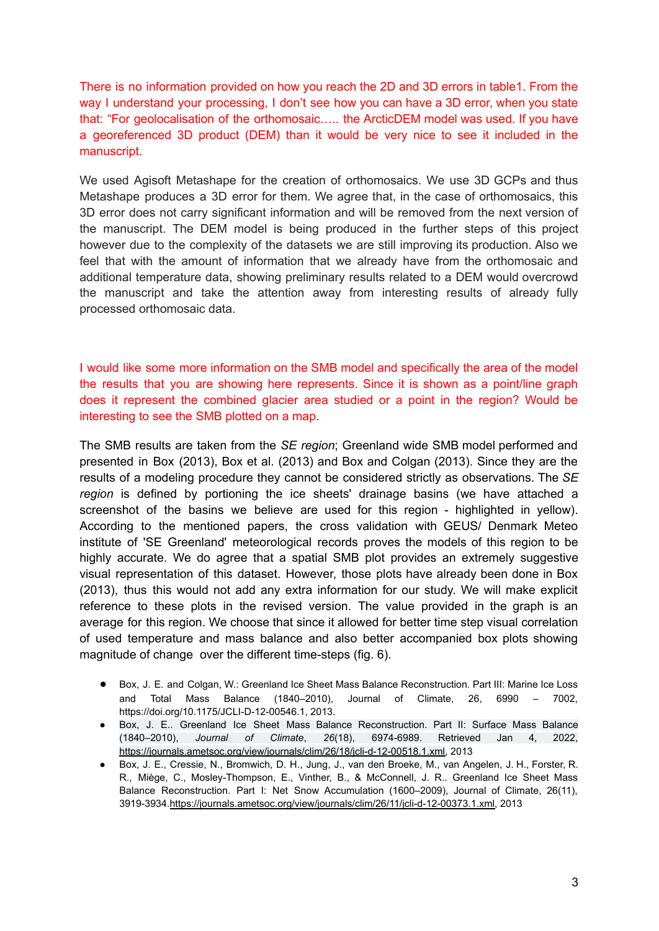There is no information provided on how you reach the 2D and 3D errors in table1. From the way I understand your processing, I don't see how you can have a 3D error, when you state that: "For geolocalisation of the orthomosaic….. the ArcticDEM model was used. If you have a georeferenced 3D product (DEM) than it would be very nice to see it included in the manuscript.

We used Agisoft Metashape for the creation of orthomosaics. We use 3D GCPs and thus Metashape produces a 3D error for them. We agree that, in the case of orthomosaics, this 3D error does not carry significant information and will be removed from the next version of the manuscript. The DEM model is being produced in the further steps of this project however due to the complexity of the datasets we are still improving its production. Also we feel that with the amount of information that we already have from the orthomosaic and additional temperature data, showing preliminary results related to a DEM would overcrowd the manuscript and take the attention away from interesting results of already fully processed orthomosaic data.

I would like some more information on the SMB model and specifically the area of the model the results that you are showing here represents. Since it is shown as a point/line graph does it represent the combined glacier area studied or a point in the region? Would be interesting to see the SMB plotted on a map.

The SMB results are taken from the *SE region*; Greenland wide SMB model performed and presented in Box (2013), Box et al. (2013) and Box and Colgan (2013). Since they are the results of a modeling procedure they cannot be considered strictly as observations. The *SE region* is defined by portioning the ice sheets' drainage basins (we have attached a screenshot of the basins we believe are used for this region - highlighted in yellow). According to the mentioned papers, the cross validation with GEUS/ Denmark Meteo institute of 'SE Greenland' meteorological records proves the models of this region to be highly accurate. We do agree that a spatial SMB plot provides an extremely suggestive visual representation of this dataset. However, those plots have already been done in Box (2013), thus this would not add any extra information for our study. We will make explicit reference to these plots in the revised version. The value provided in the graph is an average for this region. We choose that since it allowed for better time step visual correlation of used temperature and mass balance and also better accompanied box plots showing magnitude of change over the different time-steps (fig. 6).

- Box, J. E. and Colgan, W.: Greenland Ice Sheet Mass Balance Reconstruction. Part III: Marine Ice Loss and Total Mass Balance (1840–2010), Journal of Climate, 26, 6990 – 7002, https://doi.org/10.1175/JCLI-D-12-00546.1, 2013.
- Box, J. E.. Greenland Ice Sheet Mass Balance Reconstruction. Part II: Surface Mass Balance (1840–2010), *Journal of Climate*, *26*(18), 6974-6989. Retrieved Jan 4, 2022, [https://journals.ametsoc.org/view/journals/clim/26/18/jcli-d-12-00518.1.xml,](https://journals.ametsoc.org/view/journals/clim/26/18/jcli-d-12-00518.1.xml) 2013
- Box, J. E., Cressie, N., Bromwich, D. H., Jung, J., van den Broeke, M., van Angelen, J. H., Forster, R. R., Miège, C., Mosley-Thompson, E., Vinther, B., & McConnell, J. R.. Greenland Ice Sheet Mass Balance Reconstruction. Part I: Net Snow Accumulation (1600–2009), Journal of Climate, 26(11), 3919-3934.[https://journals.ametsoc.org/view/journals/clim/26/11/jcli-d-12-00373.1.xml,](https://journals.ametsoc.org/view/journals/clim/26/11/jcli-d-12-00373.1.xml) 2013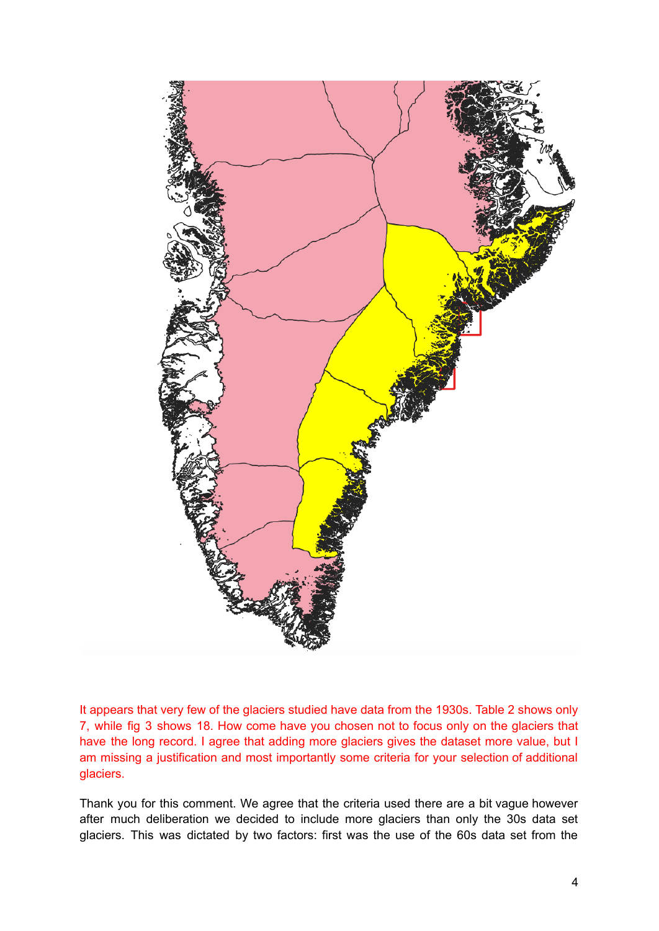

It appears that very few of the glaciers studied have data from the 1930s. Table 2 shows only 7, while fig 3 shows 18. How come have you chosen not to focus only on the glaciers that have the long record. I agree that adding more glaciers gives the dataset more value, but I am missing a justification and most importantly some criteria for your selection of additional glaciers.

Thank you for this comment. We agree that the criteria used there are a bit vague however after much deliberation we decided to include more glaciers than only the 30s data set glaciers. This was dictated by two factors: first was the use of the 60s data set from the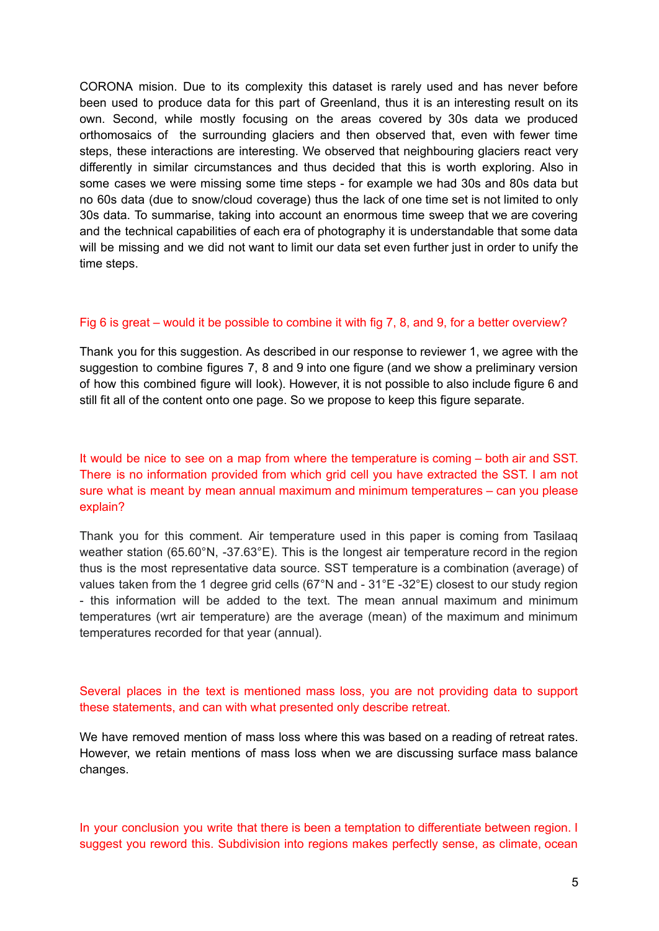CORONA mision. Due to its complexity this dataset is rarely used and has never before been used to produce data for this part of Greenland, thus it is an interesting result on its own. Second, while mostly focusing on the areas covered by 30s data we produced orthomosaics of the surrounding glaciers and then observed that, even with fewer time steps, these interactions are interesting. We observed that neighbouring glaciers react very differently in similar circumstances and thus decided that this is worth exploring. Also in some cases we were missing some time steps - for example we had 30s and 80s data but no 60s data (due to snow/cloud coverage) thus the lack of one time set is not limited to only 30s data. To summarise, taking into account an enormous time sweep that we are covering and the technical capabilities of each era of photography it is understandable that some data will be missing and we did not want to limit our data set even further just in order to unify the time steps.

#### Fig 6 is great – would it be possible to combine it with fig 7, 8, and 9, for a better overview?

Thank you for this suggestion. As described in our response to reviewer 1, we agree with the suggestion to combine figures 7, 8 and 9 into one figure (and we show a preliminary version of how this combined figure will look). However, it is not possible to also include figure 6 and still fit all of the content onto one page. So we propose to keep this figure separate.

# It would be nice to see on a map from where the temperature is coming – both air and SST. There is no information provided from which grid cell you have extracted the SST. I am not sure what is meant by mean annual maximum and minimum temperatures – can you please explain?

Thank you for this comment. Air temperature used in this paper is coming from Tasilaaq weather station (65.60°N, -37.63°E). This is the longest air temperature record in the region thus is the most representative data source. SST temperature is a combination (average) of values taken from the 1 degree grid cells (67°N and - 31°E -32°E) closest to our study region - this information will be added to the text. The mean annual maximum and minimum temperatures (wrt air temperature) are the average (mean) of the maximum and minimum temperatures recorded for that year (annual).

## Several places in the text is mentioned mass loss, you are not providing data to support these statements, and can with what presented only describe retreat.

We have removed mention of mass loss where this was based on a reading of retreat rates. However, we retain mentions of mass loss when we are discussing surface mass balance changes.

In your conclusion you write that there is been a temptation to differentiate between region. I suggest you reword this. Subdivision into regions makes perfectly sense, as climate, ocean